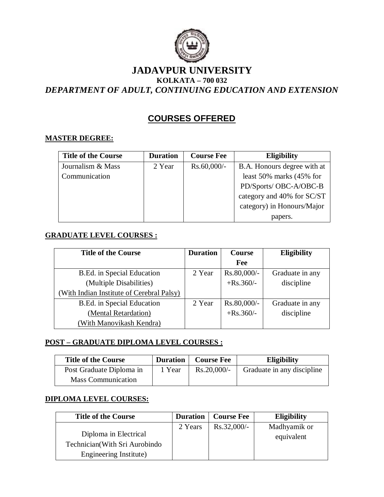

# **JADAVPUR UNIVERSITY KOLKATA – 700 032**

*DEPARTMENT OF ADULT, CONTINUING EDUCATION AND EXTENSION*

## **COURSES OFFERED**

### **MASTER DEGREE:**

| <b>Title of the Course</b> | <b>Duration</b> | <b>Course Fee</b> | <b>Eligibility</b>             |
|----------------------------|-----------------|-------------------|--------------------------------|
| Journalism & Mass          | 2 Year          | $Rs.60,000/-$     | B.A. Honours degree with at    |
| Communication              |                 |                   | least $50\%$ marks $(45\%$ for |
|                            |                 |                   | PD/Sports/ OBC-A/OBC-B         |
|                            |                 |                   | category and 40% for SC/ST     |
|                            |                 |                   | category) in Honours/Major     |
|                            |                 |                   | papers.                        |

### **GRADUATE LEVEL COURSES :**

| <b>Title of the Course</b>                | <b>Duration</b> | <b>Course</b> | Eligibility     |
|-------------------------------------------|-----------------|---------------|-----------------|
|                                           |                 | Fee           |                 |
| B.Ed. in Special Education                | 2 Year          | $Rs.80,000/-$ | Graduate in any |
| (Multiple Disabilities)                   |                 | $+$ Rs.360/-  | discipline      |
| (With Indian Institute of Cerebral Palsy) |                 |               |                 |
| B.Ed. in Special Education                | 2 Year          | $Rs.80,000/-$ | Graduate in any |
| (Mental Retardation)                      |                 | $+$ Rs.360/-  | discipline      |
| (With Manovikash Kendra)                  |                 |               |                 |

### **POST – GRADUATE DIPLOMA LEVEL COURSES :**

| <b>Title of the Course</b> | <b>Duration</b> | <b>Course Fee</b> | <b>Eligibility</b>         |
|----------------------------|-----------------|-------------------|----------------------------|
| Post Graduate Diploma in   | 1 Year          | $Rs.20,000/-$     | Graduate in any discipline |
| <b>Mass Communication</b>  |                 |                   |                            |

### **DIPLOMA LEVEL COURSES:**

| <b>Title of the Course</b>     | <b>Duration</b> | <b>Course Fee</b> | <b>Eligibility</b> |
|--------------------------------|-----------------|-------------------|--------------------|
|                                | 2 Years         | $Rs.32,000/-$     | Madhyamik or       |
| Diploma in Electrical          |                 |                   | equivalent         |
| Technician (With Sri Aurobindo |                 |                   |                    |
| Engineering Institute)         |                 |                   |                    |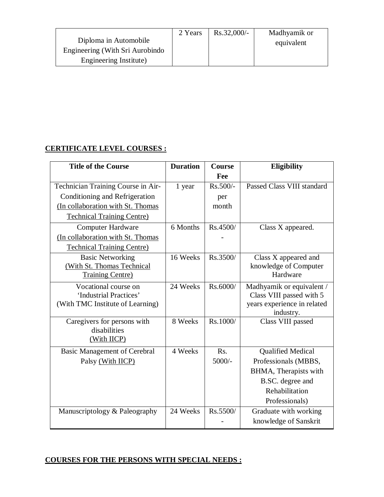|                                 | 2 Years | $Rs.32,000/-$ | Madhyamik or |
|---------------------------------|---------|---------------|--------------|
| Diploma in Automobile           |         |               | equivalent   |
| Engineering (With Sri Aurobindo |         |               |              |
| Engineering Institute)          |         |               |              |

#### **CERTIFICATE LEVEL COURSES :**

| <b>Title of the Course</b>          | <b>Duration</b> | Course     | <b>Eligibility</b>             |
|-------------------------------------|-----------------|------------|--------------------------------|
|                                     |                 | Fee        |                                |
| Technician Training Course in Air-  | 1 year          | $Rs.500/-$ | Passed Class VIII standard     |
| Conditioning and Refrigeration      |                 | per        |                                |
| (In collaboration with St. Thomas   |                 | month      |                                |
| <b>Technical Training Centre)</b>   |                 |            |                                |
| <b>Computer Hardware</b>            | 6 Months        | Rs.4500/   | Class X appeared.              |
| (In collaboration with St. Thomas   |                 |            |                                |
| <b>Technical Training Centre)</b>   |                 |            |                                |
| <b>Basic Networking</b>             | 16 Weeks        | Rs.3500/   | Class X appeared and           |
| (With St. Thomas Technical          |                 |            | knowledge of Computer          |
| <b>Training Centre)</b>             |                 |            | Hardware                       |
| Vocational course on                | 24 Weeks        | Rs.6000/   | Madhyamik or equivalent /      |
| 'Industrial Practices'              |                 |            | Class VIII passed with 5       |
| (With TMC Institute of Learning)    |                 |            | years experience in related    |
| Caregivers for persons with         | 8 Weeks         | Rs.1000/   | industry.<br>Class VIII passed |
| disabilities                        |                 |            |                                |
| (With IICP)                         |                 |            |                                |
| <b>Basic Management of Cerebral</b> | 4 Weeks         | Rs.        | <b>Qualified Medical</b>       |
| Palsy (With IICP)                   |                 | $5000/-$   | Professionals (MBBS,           |
|                                     |                 |            | BHMA, Therapists with          |
|                                     |                 |            | B.SC. degree and               |
|                                     |                 |            | Rehabilitation                 |
|                                     |                 |            | Professionals)                 |
| Manuscriptology & Paleography       | 24 Weeks        | Rs.5500/   | Graduate with working          |
|                                     |                 |            | knowledge of Sanskrit          |

#### **COURSES FOR THE PERSONS WITH SPECIAL NEEDS :**